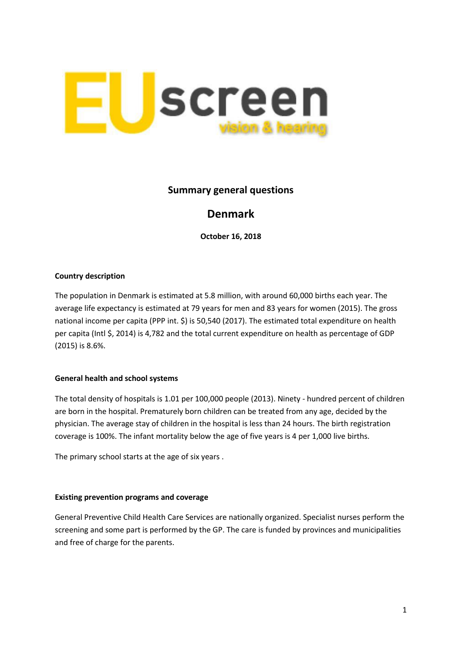

## **Summary general questions**

# **Denmark**

**October 16, 2018**

### **Country description**

The population in Denmark is estimated at 5.8 million, with around 60,000 births each year. The average life expectancy is estimated at 79 years for men and 83 years for women (2015). The gross national income per capita (PPP int. \$) is 50,540 (2017). The estimated total expenditure on health per capita (Intl \$, 2014) is 4,782 and the total current expenditure on health as percentage of GDP (2015) is 8.6%.

## **General health and school systems**

The total density of hospitals is 1.01 per 100,000 people (2013). Ninety - hundred percent of children are born in the hospital. Prematurely born children can be treated from any age, decided by the physician. The average stay of children in the hospital is less than 24 hours. The birth registration coverage is 100%. The infant mortality below the age of five years is 4 per 1,000 live births.

The primary school starts at the age of six years .

#### **Existing prevention programs and coverage**

General Preventive Child Health Care Services are nationally organized. Specialist nurses perform the screening and some part is performed by the GP. The care is funded by provinces and municipalities and free of charge for the parents.